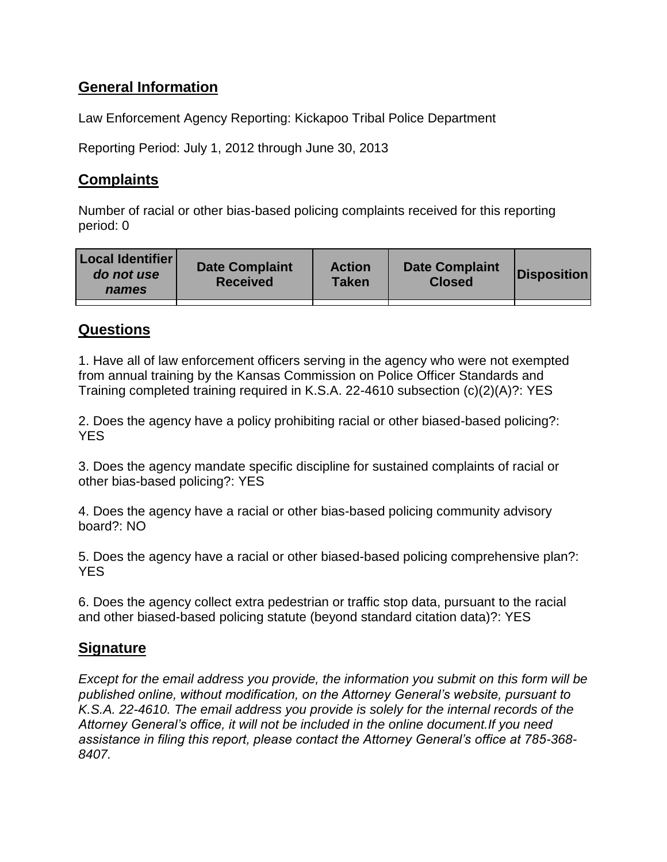# **General Information**

Law Enforcement Agency Reporting: Kickapoo Tribal Police Department

Reporting Period: July 1, 2012 through June 30, 2013

## **Complaints**

Number of racial or other bias-based policing complaints received for this reporting period: 0

| Local Identifier<br>do not use<br>names | <b>Date Complaint</b><br><b>Received</b> | <b>Action</b><br>Taken | <b>Date Complaint</b><br><b>Closed</b> | Disposition |
|-----------------------------------------|------------------------------------------|------------------------|----------------------------------------|-------------|
|                                         |                                          |                        |                                        |             |

### **Questions**

1. Have all of law enforcement officers serving in the agency who were not exempted from annual training by the Kansas Commission on Police Officer Standards and Training completed training required in K.S.A. 22-4610 subsection (c)(2)(A)?: YES

2. Does the agency have a policy prohibiting racial or other biased-based policing?: **YES** 

3. Does the agency mandate specific discipline for sustained complaints of racial or other bias-based policing?: YES

4. Does the agency have a racial or other bias-based policing community advisory board?: NO

5. Does the agency have a racial or other biased-based policing comprehensive plan?: YES

6. Does the agency collect extra pedestrian or traffic stop data, pursuant to the racial and other biased-based policing statute (beyond standard citation data)?: YES

### **Signature**

*Except for the email address you provide, the information you submit on this form will be published online, without modification, on the Attorney General's website, pursuant to K.S.A. 22-4610. The email address you provide is solely for the internal records of the Attorney General's office, it will not be included in the online document.If you need assistance in filing this report, please contact the Attorney General's office at 785-368- 8407.*